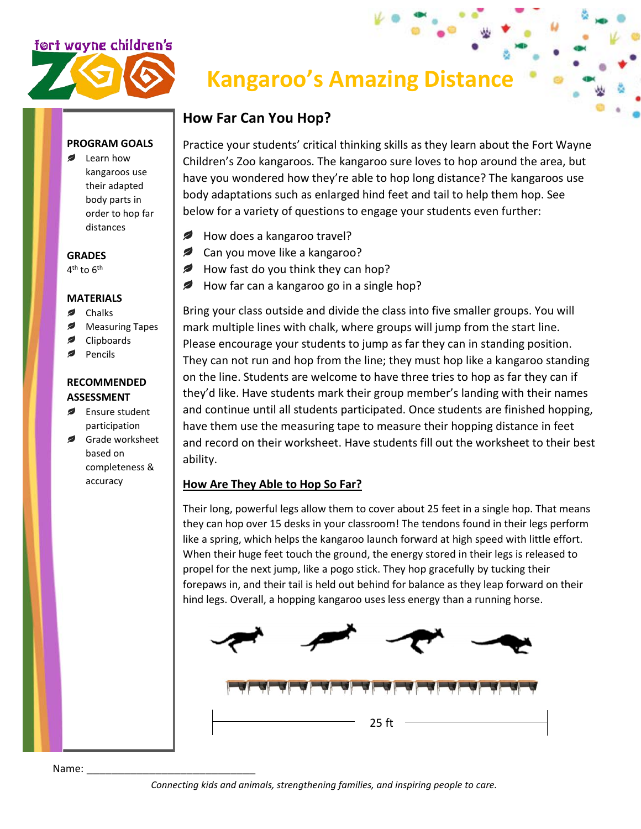## <u>f©rt wayne children's</u>



# **Kangaroo's Amazing Distance**

### **How Far Can You Hop?**

Practice your students' critical thinking skills as they learn about the Fort Wayne Children's Zoo kangaroos. The kangaroo sure loves to hop around the area, but have you wondered how they're able to hop long distance? The kangaroos use body adaptations such as enlarged hind feet and tail to help them hop. See below for a variety of questions to engage your students even further:

- $\mathcal{L}$ How does a kangaroo travel?
- **Can you move like a kangaroo?**
- How fast do you think they can hop?  $\overline{\phantom{a}}$
- *₽* How far can a kangaroo go in a single hop?

Bring your class outside and divide the class into five smaller groups. You will mark multiple lines with chalk, where groups will jump from the start line. Please encourage your students to jump as far they can in standing position. They can not run and hop from the line; they must hop like a kangaroo standing on the line. Students are welcome to have three tries to hop as far they can if they'd like. Have students mark their group member's landing with their names and continue until all students participated. Once students are finished hopping, have them use the measuring tape to measure their hopping distance in feet and record on their worksheet. Have students fill out the worksheet to their best ability.

#### **How Are They Able to Hop So Far?**

Their long, powerful legs allow them to cover about 25 feet in a single hop. That means they can hop over 15 desks in your classroom! The tendons found in their legs perform like a spring, which helps the kangaroo launch forward at high speed with little effort. When their huge feet touch the ground, the energy stored in their legs is released to propel for the next jump, like a pogo stick. They hop gracefully by tucking their forepaws in, and their tail is held out behind for balance as they leap forward on their hind legs. Overall, a hopping kangaroo uses less energy than a running horse.



#### **PROGRAM GOALS**

Learn how kangaroos use their adapted body parts in order to hop far distances

#### **GRADES**

 $4<sup>th</sup>$  to  $6<sup>th</sup>$ 

#### **MATERIALS**

- Chalks
- Measuring Tapes
- Clipboards
- Pencils

#### **RECOMMENDED ASSESSMENT**

- Ensure student participation
- Grade worksheet based on completeness & accuracy